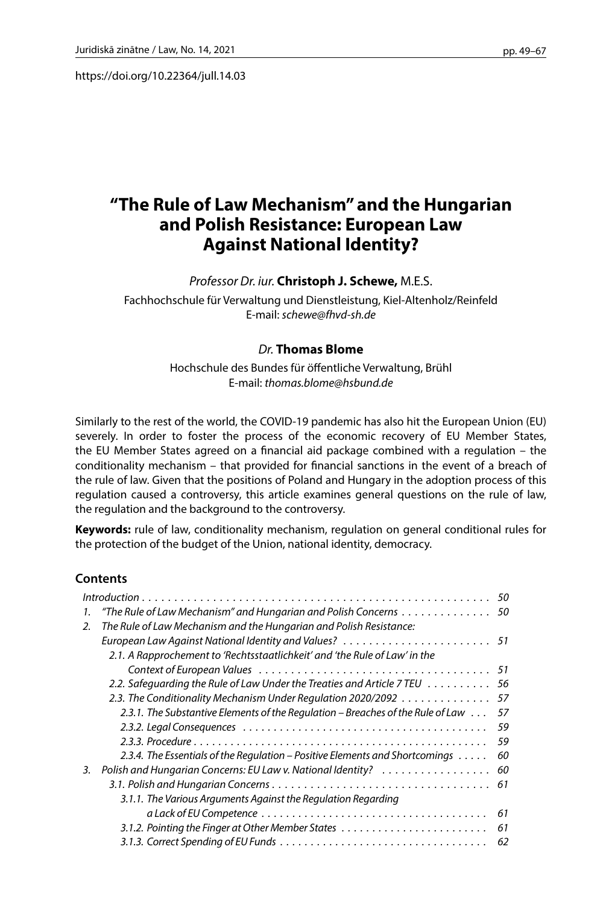https://doi.org/10.22364/jull.14.03

# **"The Rule of Law Mechanism" and the Hungarian and Polish Resistance: European Law Against National Identity?**

## *Professor Dr. iur.* **Christoph J. Schewe,** M.E.S.

Fachhochschule für Verwaltung und Dienstleistung, Kiel-Altenholz/Reinfeld E-mail: *schewe@fhvd-sh.de*

## *Dr.* **Thomas Blome**

Hochschule des Bundes für öffentliche Verwaltung, Brühl E-mail: *thomas.blome@hsbund.de*

Similarly to the rest of the world, the COVID-19 pandemic has also hit the European Union (EU) severely. In order to foster the process of the economic recovery of EU Member States, the EU Member States agreed on a financial aid package combined with a regulation – the conditionality mechanism – that provided for financial sanctions in the event of a breach of the rule of law. Given that the positions of Poland and Hungary in the adoption process of this regulation caused a controversy, this article examines general questions on the rule of law, the regulation and the background to the controversy.

**Keywords:** rule of law, conditionality mechanism, regulation on general conditional rules for the protection of the budget of the Union, national identity, democracy.

## **Contents**

| 1. | "The Rule of Law Mechanism" and Hungarian and Polish Concerns $\dots\dots\dots\dots\dots$ 50 |    |
|----|----------------------------------------------------------------------------------------------|----|
| 2. | The Rule of Law Mechanism and the Hungarian and Polish Resistance:                           |    |
|    |                                                                                              |    |
|    | 2.1. A Rapprochement to 'Rechtsstaatlichkeit' and 'the Rule of Law' in the                   |    |
|    |                                                                                              |    |
|    | 2.2. Safeguarding the Rule of Law Under the Treaties and Article 7 TEU 56                    |    |
|    | 2.3. The Conditionality Mechanism Under Regulation 2020/2092 57                              |    |
|    | 2.3.1. The Substantive Elements of the Regulation – Breaches of the Rule of Law              | 57 |
|    |                                                                                              | 59 |
|    |                                                                                              | 59 |
|    | 2.3.4. The Essentials of the Regulation – Positive Elements and Shortcomings $\dots$ .       | 60 |
| 3. | Polish and Hungarian Concerns: EU Law v. National Identity?                                  | 60 |
|    |                                                                                              |    |
|    | 3.1.1. The Various Arguments Against the Regulation Regarding                                |    |
|    |                                                                                              | 61 |
|    |                                                                                              | 61 |
|    |                                                                                              | 62 |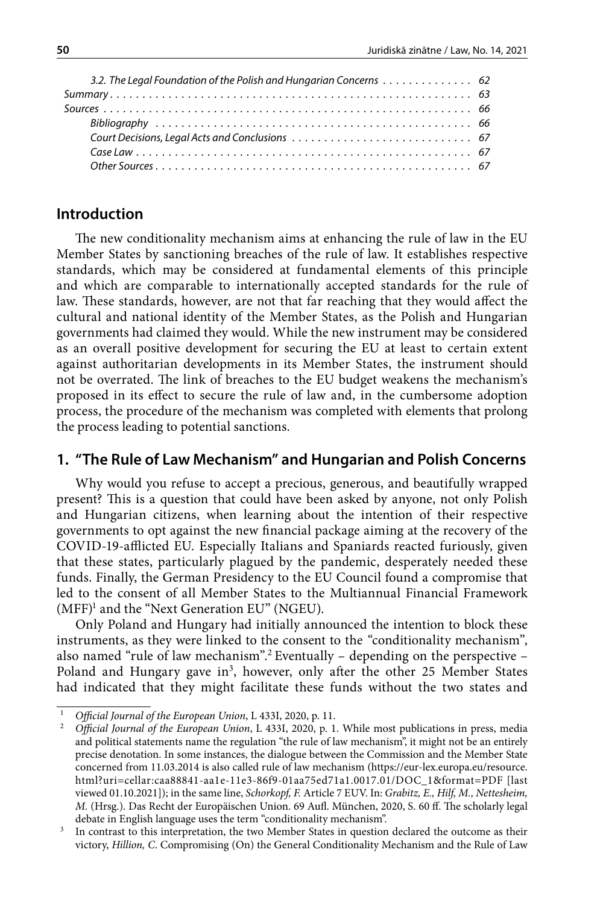| 3.2. The Legal Foundation of the Polish and Hungarian Concerns  62 |
|--------------------------------------------------------------------|
|                                                                    |
|                                                                    |
|                                                                    |
|                                                                    |
|                                                                    |
|                                                                    |
|                                                                    |

## **Introduction**

The new conditionality mechanism aims at enhancing the rule of law in the EU Member States by sanctioning breaches of the rule of law. It establishes respective standards, which may be considered at fundamental elements of this principle and which are comparable to internationally accepted standards for the rule of law. These standards, however, are not that far reaching that they would affect the cultural and national identity of the Member States, as the Polish and Hungarian governments had claimed they would. While the new instrument may be considered as an overall positive development for securing the EU at least to certain extent against authoritarian developments in its Member States, the instrument should not be overrated. The link of breaches to the EU budget weakens the mechanism's proposed in its effect to secure the rule of law and, in the cumbersome adoption process, the procedure of the mechanism was completed with elements that prolong the process leading to potential sanctions.

## **1. "The Rule of Law Mechanism" and Hungarian and Polish Concerns**

Why would you refuse to accept a precious, generous, and beautifully wrapped present? This is a question that could have been asked by anyone, not only Polish and Hungarian citizens, when learning about the intention of their respective governments to opt against the new financial package aiming at the recovery of the COVID-19-afflicted EU. Especially Italians and Spaniards reacted furiously, given that these states, particularly plagued by the pandemic, desperately needed these funds. Finally, the German Presidency to the EU Council found a compromise that led to the consent of all Member States to the Multiannual Financial Framework (MFF)1 and the "Next Generation EU" (NGEU).

Only Poland and Hungary had initially announced the intention to block these instruments, as they were linked to the consent to the *"*conditionality mechanism", also named "rule of law mechanism".2 Eventually – depending on the perspective – Poland and Hungary gave in<sup>3</sup>, however, only after the other 25 Member States had indicated that they might facilitate these funds without the two states and

<sup>1</sup> *Official Journal of the European Union*, L 433I, 2020, p. 11.

<sup>2</sup> *Official Journal of the European Union*, L 433I, 2020, p. 1. While most publications in press, media and political statements name the regulation "the rule of law mechanism", it might not be an entirely precise denotation. In some instances, the dialogue between the Commission and the Member State concerned from 11.03.2014 is also called rule of law mechanism [\(https://eur-lex.europa.eu/resource.](https://eur-lex.europa.eu/resource.html?uri=cellar:caa88841-aa1e-11e3-86f9-01aa75ed71a1.0017.01/DOC_1&format=PDF) [html?uri=cellar:caa88841-aa1e-11e3-86f9-01aa75ed71a1.0017.01/DOC\\_1&format=PDF](https://eur-lex.europa.eu/resource.html?uri=cellar:caa88841-aa1e-11e3-86f9-01aa75ed71a1.0017.01/DOC_1&format=PDF) [last viewed 01.10.2021]); in the same line, *Schorkopf, F.* Article 7 EUV. In: *Grabitz, E., Hilf, M., Nettesheim, M.* (Hrsg.). Das Recht der Europäischen Union. 69 Aufl. München, 2020, S. 60 ff. The scholarly legal debate in English language uses the term "conditionality mechanism".

In contrast to this interpretation, the two Member States in question declared the outcome as their victory, *Hillion, C*. Compromising (On) the General Conditionality Mechanism and the Rule of Law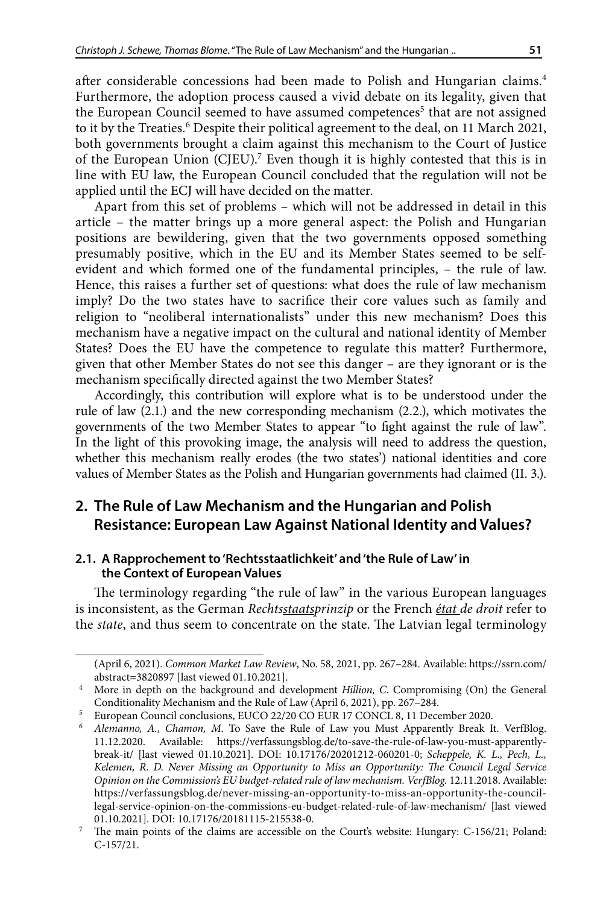after considerable concessions had been made to Polish and Hungarian claims.<sup>4</sup> Furthermore, the adoption process caused a vivid debate on its legality, given that the European Council seemed to have assumed competences<sup>5</sup> that are not assigned to it by the Treaties.<sup>6</sup> Despite their political agreement to the deal, on 11 March 2021, both governments brought a claim against this mechanism to the Court of Justice of the European Union (CJEU).<sup>7</sup> Even though it is highly contested that this is in line with EU law, the European Council concluded that the regulation will not be applied until the ECJ will have decided on the matter.

Apart from this set of problems – which will not be addressed in detail in this article – the matter brings up a more general aspect: the Polish and Hungarian positions are bewildering, given that the two governments opposed something presumably positive, which in the EU and its Member States seemed to be selfevident and which formed one of the fundamental principles, – the rule of law. Hence, this raises a further set of questions: what does the rule of law mechanism imply? Do the two states have to sacrifice their core values such as family and religion to "neoliberal internationalists" under this new mechanism? Does this mechanism have a negative impact on the cultural and national identity of Member States? Does the EU have the competence to regulate this matter? Furthermore, given that other Member States do not see this danger – are they ignorant or is the mechanism specifically directed against the two Member States?

Accordingly, this contribution will explore what is to be understood under the rule of law (2.1.) and the new corresponding mechanism (2.2.), which motivates the governments of the two Member States to appear "to fight against the rule of law". In the light of this provoking image, the analysis will need to address the question, whether this mechanism really erodes (the two states') national identities and core values of Member States as the Polish and Hungarian governments had claimed (II. 3.).

## **2. The Rule of Law Mechanism and the Hungarian and Polish Resistance: European Law Against National Identity and Values?**

## **2.1. A Rapprochement to 'Rechtsstaatlichkeit' and 'the Rule of Law' in the Context of European Values**

The terminology regarding "the rule of law" in the various European languages is inconsistent, as the German *Rechtsstaatsprinzip* or the French *état de droit* refer to the *state*, and thus seem to concentrate on the state. The Latvian legal terminology

<sup>(</sup>April 6, 2021). *Common Market Law Review*, No. 58, 2021, pp. 267–284. Available: [https://ssrn.com/](https://ssrn.com/abstract=3820897) [abstract=3820897](https://ssrn.com/abstract=3820897) [last viewed 01.10.2021].

<sup>4</sup> More in depth on the background and development *Hillion, C*. Compromising (On) the General Conditionality Mechanism and the Rule of Law (April 6, 2021), pp. 267–284.

<sup>&</sup>lt;sup>5</sup> European Council conclusions, EUCO 22/20 CO EUR 17 CONCL 8, 11 December 2020.

<sup>6</sup> *Alemanno, A., Chamon, M*. To Save the Rule of Law you Must Apparently Break It. VerfBlog. 11.12.2020. Available: [https://verfassungsblog.de/to-save-the-rule-of-law-you-must-apparently](https://verfassungsblog.de/to-save-the-rule-of-law-you-must-apparently-break-it/)[break-it/](https://verfassungsblog.de/to-save-the-rule-of-law-you-must-apparently-break-it/) [last viewed 01.10.2021]. DOI: 10.17176/20201212-060201-0; *Scheppele, K. L., Pech, L., Kelemen, R. D. Never Missing an Opportunity to Miss an Opportunity: The Council Legal Service Opinion on the Commission's EU budget-related rule of law mechanism. VerfBlog.* 12.11.2018. Available: [https://verfassungsblog.de/never-missing-an-opportunity-to-miss-an-opportunity-the-council](https://verfassungsblog.de/never-missing-an-opportunity-to-miss-an-opportunity-the-council-legal-service-opinion-on-the-commissions-eu-budget-related-rule-of-law-mechanism/)[legal-service-opinion-on-the-commissions-eu-budget-related-rule-of-law-mechanism/](https://verfassungsblog.de/never-missing-an-opportunity-to-miss-an-opportunity-the-council-legal-service-opinion-on-the-commissions-eu-budget-related-rule-of-law-mechanism/) [last viewed 01.10.2021]. DOI: 10.17176/20181115-215538-0.

<sup>7</sup> The main points of the claims are accessible on the Court's website: Hungary: C-156/21; Poland: C-157/21.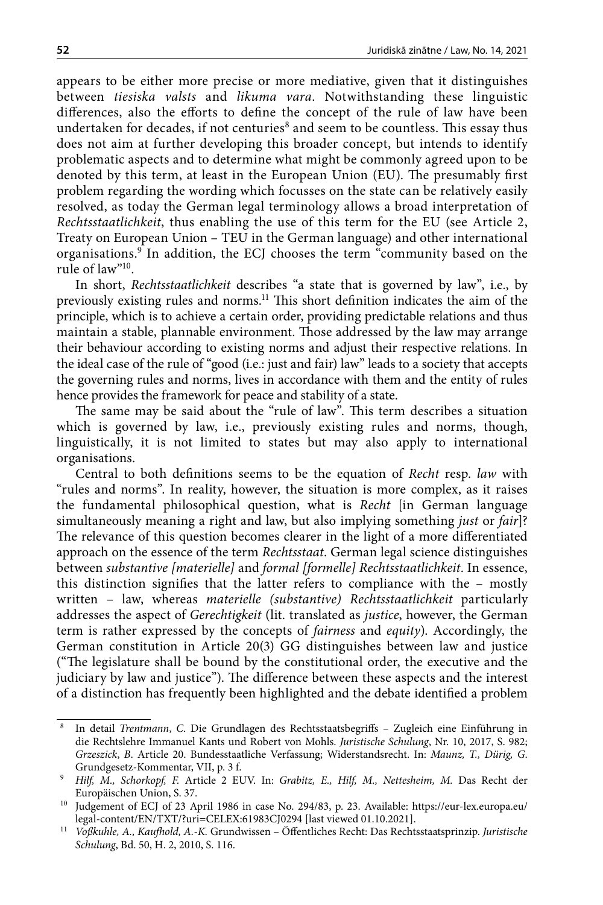appears to be either more precise or more mediative, given that it distinguishes between *tiesiska valsts* and *likuma vara*. Notwithstanding these linguistic differences, also the efforts to define the concept of the rule of law have been undertaken for decades, if not centuries $^8$  and seem to be countless. This essay thus does not aim at further developing this broader concept, but intends to identify problematic aspects and to determine what might be commonly agreed upon to be denoted by this term, at least in the European Union (EU). The presumably first problem regarding the wording which focusses on the state can be relatively easily resolved, as today the German legal terminology allows a broad interpretation of *Rechtsstaatlichkeit*, thus enabling the use of this term for the EU (see Article 2, Treaty on European Union – TEU in the German language) and other international organisations.9 In addition, the ECJ chooses the term "community based on the rule of law"10.

In short, *Rechtsstaatlichkeit* describes "a state that is governed by law", i.e., by previously existing rules and norms.11 This short definition indicates the aim of the principle, which is to achieve a certain order, providing predictable relations and thus maintain a stable, plannable environment. Those addressed by the law may arrange their behaviour according to existing norms and adjust their respective relations. In the ideal case of the rule of "good (i.e.: just and fair) law" leads to a society that accepts the governing rules and norms, lives in accordance with them and the entity of rules hence provides the framework for peace and stability of a state.

The same may be said about the "rule of law". This term describes a situation which is governed by law, i.e., previously existing rules and norms, though, linguistically, it is not limited to states but may also apply to international organisations.

Central to both definitions seems to be the equation of *Recht* resp. *law* with "rules and norms". In reality, however, the situation is more complex, as it raises the fundamental philosophical question, what is *Recht* [in German language simultaneously meaning a right and law, but also implying something *just* or *fair*]? The relevance of this question becomes clearer in the light of a more differentiated approach on the essence of the term *Rechtsstaat*. German legal science distinguishes between *substantive [materielle]* and *formal [formelle] Rechtsstaatlichkeit*. In essence, this distinction signifies that the latter refers to compliance with the – mostly written – law, whereas *materielle (substantive) Rechtsstaatlichkeit* particularly addresses the aspect of *Gerechtigkeit* (lit. translated as *justice*, however, the German term is rather expressed by the concepts of *fairness* and *equity*). Accordingly, the German constitution in Article 20(3) GG distinguishes between law and justice ("The legislature shall be bound by the constitutional order, the executive and the judiciary by law and justice"). The difference between these aspects and the interest of a distinction has frequently been highlighted and the debate identified a problem

<sup>8</sup> In detail *Trentmann*, *C*. Die Grundlagen des Rechtsstaatsbegriffs – Zugleich eine Einführung in die Rechtslehre Immanuel Kants und Robert von Mohls. *Juristische Schulung*, Nr. 10, 2017, S. 982; *Grzeszick*, *B*. Article 20. Bundesstaatliche Verfassung; Widerstandsrecht. In: *Maunz, T., Dürig, G*. Grundgesetz-Kommentar, VII, p. 3 f.

<sup>9</sup> *Hilf, M., Schorkopf, F.* Article 2 EUV. In: *Grabitz, E., Hilf, M., Nettesheim, M.* Das Recht der Europäischen Union, S. 37.

<sup>&</sup>lt;sup>10</sup> Judgement of ECJ of 23 April 1986 in case No. 294/83, p. 23. Available: [https://eur-lex.europa.eu/](https://eur-lex.europa.eu/legal-content/EN/TXT/?uri=CELEX:61983CJ0294) [legal-content/EN/TXT/?uri=CELEX:61983CJ0294](https://eur-lex.europa.eu/legal-content/EN/TXT/?uri=CELEX:61983CJ0294) [last viewed 01.10.2021].

<sup>11</sup> *Voßkuhle, A., Kaufhold, A.-K.* [Grundwissen – Öffentliches Recht: Das Rechtsstaatsprinzip](https://beck-online.beck.de/?typ=reference&y=300&b=2010&n=1&s=116&z=JUS). *Juristische Schulung*, Bd. 50, H. 2, 2010, S. 116.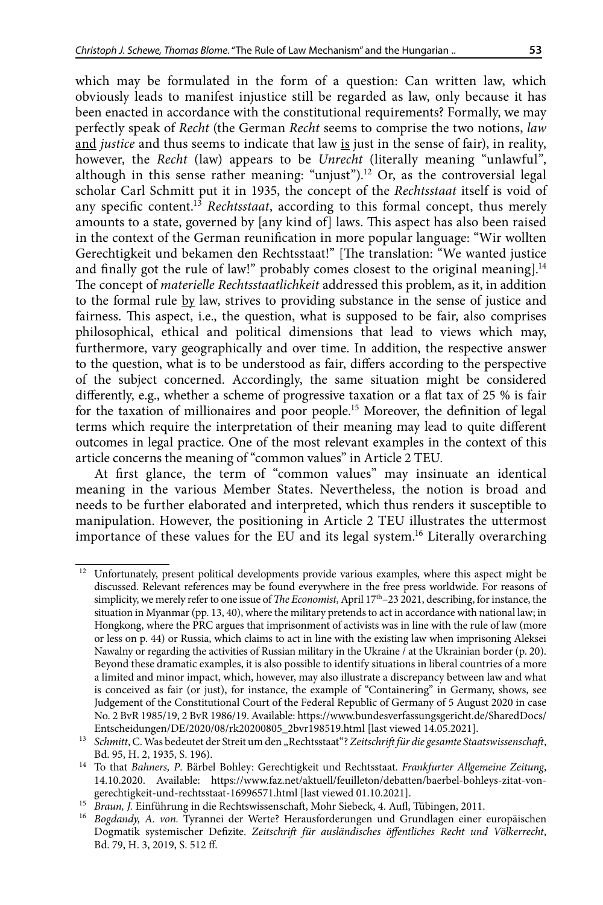which may be formulated in the form of a question: Can written law, which obviously leads to manifest injustice still be regarded as law, only because it has been enacted in accordance with the constitutional requirements? Formally, we may perfectly speak of *Recht* (the German *Recht* seems to comprise the two notions, *law* and *justice* and thus seems to indicate that law is just in the sense of fair), in reality, however, the *Recht* (law) appears to be *Unrecht* (literally meaning "unlawful", although in this sense rather meaning: "unjust").<sup>12</sup> Or, as the controversial legal scholar Carl Schmitt put it in 1935, the concept of the *Rechtsstaat* itself is void of any specific content.13 *Rechtsstaat*, according to this formal concept, thus merely amounts to a state, governed by [any kind of] laws. This aspect has also been raised in the context of the German reunification in more popular language: "Wir wollten Gerechtigkeit und bekamen den Rechtsstaat!" [The translation: "We wanted justice and finally got the rule of law!" probably comes closest to the original meaning].<sup>14</sup> The concept of *materielle Rechtsstaatlichkeit* addressed this problem, as it, in addition to the formal rule by law, strives to providing substance in the sense of justice and fairness. This aspect, i.e., the question, what is supposed to be fair, also comprises

philosophical, ethical and political dimensions that lead to views which may, furthermore, vary geographically and over time. In addition, the respective answer to the question, what is to be understood as fair, differs according to the perspective of the subject concerned. Accordingly, the same situation might be considered differently, e.g., whether a scheme of progressive taxation or a flat tax of 25 % is fair for the taxation of millionaires and poor people.15 Moreover, the definition of legal terms which require the interpretation of their meaning may lead to quite different outcomes in legal practice. One of the most relevant examples in the context of this article concerns the meaning of "common values" in Article 2 TEU.

At first glance, the term of "common values" may insinuate an identical meaning in the various Member States. Nevertheless, the notion is broad and needs to be further elaborated and interpreted, which thus renders it susceptible to manipulation. However, the positioning in Article 2 TEU illustrates the uttermost importance of these values for the EU and its legal system.16 Literally overarching

<sup>&</sup>lt;sup>12</sup> Unfortunately, present political developments provide various examples, where this aspect might be discussed. Relevant references may be found everywhere in the free press worldwide. For reasons of simplicity, we merely refer to one issue of *The Economist*, April 17th–23 2021, describing, for instance, the situation in Myanmar (pp. 13, 40), where the military pretends to act in accordance with national law; in Hongkong, where the PRC argues that imprisonment of activists was in line with the rule of law (more or less on p. 44) or Russia, which claims to act in line with the existing law when imprisoning Aleksei Nawalny or regarding the activities of Russian military in the Ukraine / at the Ukrainian border (p. 20). Beyond these dramatic examples, it is also possible to identify situations in liberal countries of a more a limited and minor impact, which, however, may also illustrate a discrepancy between law and what is conceived as fair (or just), for instance, the example of "Containering" in Germany, shows, see Judgement of the Constitutional Court of the Federal Republic of Germany of 5 August 2020 in case No. 2 BvR 1985/19, 2 BvR 1986/19. Available: https://www.bundesverfassungsgericht.de/SharedDocs/ Entscheidungen/DE/2020/08/rk20200805\_2bvr198519.html [last viewed 14.05.2021].

<sup>&</sup>lt;sup>13</sup> Schmitt, C. Was bedeutet der Streit um den "Rechtsstaat"? Zeitschrift für die gesamte Staatswissenschaft, Bd. 95, H. 2, 1935, S. 196).

<sup>14</sup> To that *Bahners, P*. Bärbel Bohley: Gerechtigkeit und Rechtsstaat. *Frankfurter Allgemeine Zeitung*, 14.10.2020. Available: https://www.faz.net/aktuell/feuilleton/debatten/baerbel-bohleys-zitat-vongerechtigkeit-und-rechtsstaat-16996571.html [last viewed 01.10.2021].

<sup>15</sup> *Braun, J.* Einführung in die Rechtswissenschaft, Mohr Siebeck, 4. Aufl, Tübingen, 2011.

<sup>16</sup> *Bogdandy, A. von.* Tyrannei der Werte? Herausforderungen und Grundlagen einer europäischen Dogmatik systemischer Defizite. *Zeitschrift für ausländisches öffentliches Recht und Völkerrecht*, Bd. 79, H. 3, 2019, S. 512 ff.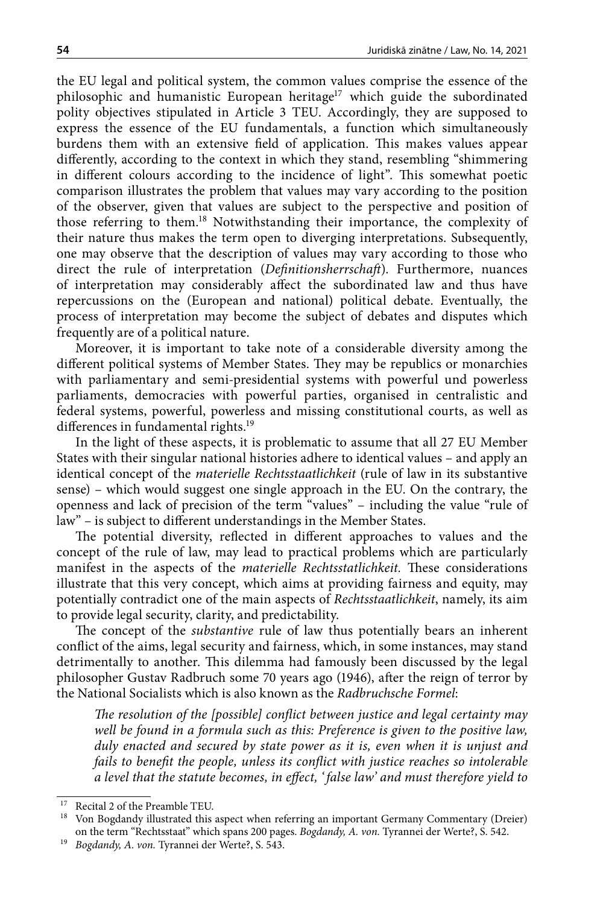the EU legal and political system, the common values comprise the essence of the philosophic and humanistic European heritage<sup>17</sup> which guide the subordinated polity objectives stipulated in Article 3 TEU. Accordingly, they are supposed to express the essence of the EU fundamentals, a function which simultaneously burdens them with an extensive field of application. This makes values appear differently, according to the context in which they stand, resembling "shimmering in different colours according to the incidence of light". This somewhat poetic comparison illustrates the problem that values may vary according to the position of the observer, given that values are subject to the perspective and position of those referring to them.18 Notwithstanding their importance, the complexity of their nature thus makes the term open to diverging interpretations. Subsequently, one may observe that the description of values may vary according to those who direct the rule of interpretation (*Definitionsherrschaft*). Furthermore, nuances of interpretation may considerably affect the subordinated law and thus have repercussions on the (European and national) political debate. Eventually, the process of interpretation may become the subject of debates and disputes which frequently are of a political nature.

Moreover, it is important to take note of a considerable diversity among the different political systems of Member States. They may be republics or monarchies with parliamentary and semi-presidential systems with powerful und powerless parliaments, democracies with powerful parties, organised in centralistic and federal systems, powerful, powerless and missing constitutional courts, as well as differences in fundamental rights.<sup>19</sup>

In the light of these aspects, it is problematic to assume that all 27 EU Member States with their singular national histories adhere to identical values – and apply an identical concept of the *materielle Rechtsstaatlichkeit* (rule of law in its substantive sense) – which would suggest one single approach in the EU. On the contrary, the openness and lack of precision of the term "values" – including the value "rule of law" – is subject to different understandings in the Member States.

The potential diversity, reflected in different approaches to values and the concept of the rule of law, may lead to practical problems which are particularly manifest in the aspects of the *materielle Rechtsstatlichkeit.* These considerations illustrate that this very concept, which aims at providing fairness and equity, may potentially contradict one of the main aspects of *Rechtsstaatlichkeit*, namely, its aim to provide legal security, clarity, and predictability.

The concept of the *substantive* rule of law thus potentially bears an inherent conflict of the aims, legal security and fairness, which, in some instances, may stand detrimentally to another. This dilemma had famously been discussed by the legal philosopher Gustav Radbruch some 70 years ago (1946), after the reign of terror by the National Socialists which is also known as the *Radbruchsche Formel*:

*The resolution of the [possible] conflict between justice and legal certainty may well be found in a formula such as this: Preference is given to the positive law, duly enacted and secured by state power as it is, even when it is unjust and fails to benefit the people, unless its conflict with justice reaches so intolerable a level that the statute becomes, in effect, ' false law' and must therefore yield to* 

<sup>17</sup> Recital 2 of the Preamble TEU.

<sup>&</sup>lt;sup>18</sup> Von Bogdandy illustrated this aspect when referring an important Germany Commentary (Dreier) on the term "Rechtsstaat" which spans 200 pages. *Bogdandy, A. von.* Tyrannei der Werte?, S. 542.

<sup>19</sup> *Bogdandy, A. von.* Tyrannei der Werte?, S. 543.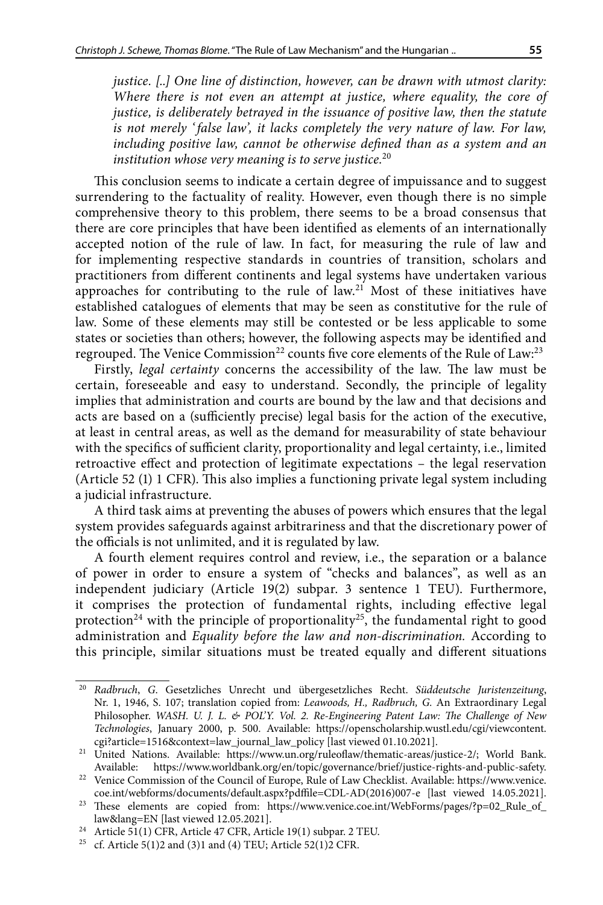*justice. [..] One line of distinction, however, can be drawn with utmost clarity: Where there is not even an attempt at justice, where equality, the core of justice, is deliberately betrayed in the issuance of positive law, then the statute is not merely ' false law', it lacks completely the very nature of law. For law, including positive law, cannot be otherwise defined than as a system and an institution whose very meaning is to serve justice.*<sup>20</sup>

This conclusion seems to indicate a certain degree of impuissance and to suggest surrendering to the factuality of reality. However, even though there is no simple comprehensive theory to this problem, there seems to be a broad consensus that there are core principles that have been identified as elements of an internationally accepted notion of the rule of law. In fact, for measuring the rule of law and for implementing respective standards in countries of transition, scholars and practitioners from different continents and legal systems have undertaken various approaches for contributing to the rule of  $\text{law}^{21}$  Most of these initiatives have established catalogues of elements that may be seen as constitutive for the rule of law. Some of these elements may still be contested or be less applicable to some states or societies than others; however, the following aspects may be identified and regrouped. The Venice Commission<sup>22</sup> counts five core elements of the Rule of Law:<sup>23</sup>

Firstly, *legal certainty* concerns the accessibility of the law. The law must be certain, foreseeable and easy to understand. Secondly, the principle of legality implies that administration and courts are bound by the law and that decisions and acts are based on a (sufficiently precise) legal basis for the action of the executive, at least in central areas, as well as the demand for measurability of state behaviour with the specifics of sufficient clarity, proportionality and legal certainty, i.e., limited retroactive effect and protection of legitimate expectations – the legal reservation (Article 52 (1) 1 CFR). This also implies a functioning private legal system including a judicial infrastructure.

A third task aims at preventing the abuses of powers which ensures that the legal system provides safeguards against arbitrariness and that the discretionary power of the officials is not unlimited, and it is regulated by law.

A fourth element requires control and review, i.e., the separation or a balance of power in order to ensure a system of "checks and balances", as well as an independent judiciary (Article 19(2) subpar. 3 sentence 1 TEU). Furthermore, it comprises the protection of fundamental rights, including effective legal protection<sup>24</sup> with the principle of proportionality<sup>25</sup>, the fundamental right to good administration and *Equality before the law and non-discrimination.* According to this principle, similar situations must be treated equally and different situations

<sup>20</sup> *Radbruch*, *G*. Gesetzliches Unrecht und übergesetzliches Recht. *Süddeutsche Juristenzeitung*, Nr. 1, 1946, S. 107; translation copied from: *Leawoods, H., Radbruch, G.* An Extraordinary Legal Philosopher. *WASH. U. J. L. & POL'Y. Vol. 2. Re-Engineering Patent Law: The Challenge of New Technologies*, January 2000, p. 500. Available: [https://openscholarship.wustl.edu/cgi/viewcontent.](https://openscholarship.wustl.edu/cgi/viewcontent.cgi?article=1516&context=law_journal_law_policy) [cgi?article=1516&context=law\\_journal\\_law\\_policy](https://openscholarship.wustl.edu/cgi/viewcontent.cgi?article=1516&context=law_journal_law_policy) [last viewed 01.10.2021].

<sup>21</sup> United Nations. Available: <https://www.un.org/ruleoflaw/thematic-areas/justice-2/>; World Bank. Available: <https://www.worldbank.org/en/topic/governance/brief/justice-rights-and-public-safety>. 22 Venice Commission of the Council of Europe, Rule of Law Checklist. Available: [https://www.venice.](https://www.venice.coe.int/webforms/documents/default.aspx?pdffile=CDL-AD(2016)007-e)

[coe.int/webforms/documents/default.aspx?pdffile=CDL-AD\(2016\)007-e](https://www.venice.coe.int/webforms/documents/default.aspx?pdffile=CDL-AD(2016)007-e) [last viewed 14.05.2021].

<sup>&</sup>lt;sup>23</sup> These elements are copied from: [https://www.venice.coe.int/WebForms/pages/?p=02\\_Rule\\_of\\_](https://www.venice.coe.int/WebForms/pages/?p=02_Rule_of_law&lang=EN) [law&lang=EN](https://www.venice.coe.int/WebForms/pages/?p=02_Rule_of_law&lang=EN) [last viewed 12.05.2021].

<sup>24</sup> Article 51(1) CFR, Article 47 CFR, Article 19(1) subpar. 2 TEU.

<sup>&</sup>lt;sup>25</sup> cf. Article 5(1)2 and (3)1 and (4) TEU; Article 52(1)2 CFR.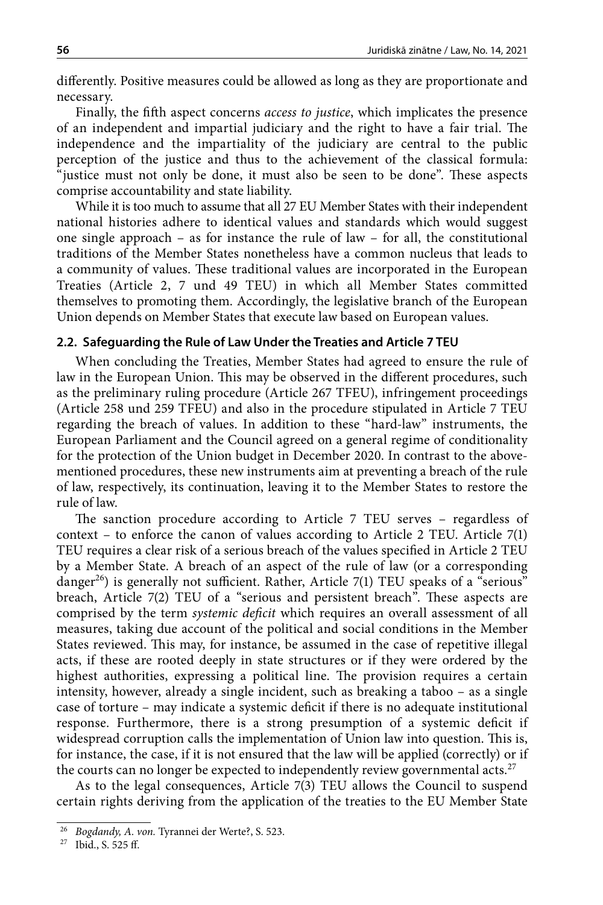differently. Positive measures could be allowed as long as they are proportionate and necessary.

Finally, the fifth aspect concerns *access to justice*, which implicates the presence of an independent and impartial judiciary and the right to have a fair trial. The independence and the impartiality of the judiciary are central to the public perception of the justice and thus to the achievement of the classical formula: "justice must not only be done, it must also be seen to be done". These aspects comprise accountability and state liability.

While it is too much to assume that all 27 EU Member States with their independent national histories adhere to identical values and standards which would suggest one single approach  $-$  as for instance the rule of law  $-$  for all, the constitutional traditions of the Member States nonetheless have a common nucleus that leads to a community of values. These traditional values are incorporated in the European Treaties (Article 2, 7 und 49 TEU) in which all Member States committed themselves to promoting them. Accordingly, the legislative branch of the European Union depends on Member States that execute law based on European values.

### **2.2. Safeguarding the Rule of Law Under the Treaties and Article 7 TEU**

When concluding the Treaties, Member States had agreed to ensure the rule of law in the European Union. This may be observed in the different procedures, such as the preliminary ruling procedure (Article 267 TFEU), infringement proceedings (Article 258 und 259 TFEU) and also in the procedure stipulated in Article 7 TEU regarding the breach of values. In addition to these "hard-law" instruments, the European Parliament and the Council agreed on a general regime of conditionality for the protection of the Union budget in December 2020. In contrast to the abovementioned procedures, these new instruments aim at preventing a breach of the rule of law, respectively, its continuation, leaving it to the Member States to restore the rule of law.

The sanction procedure according to Article 7 TEU serves – regardless of context – to enforce the canon of values according to Article 2 TEU. Article  $7(1)$ TEU requires a clear risk of a serious breach of the values specified in Article 2 TEU by a Member State. A breach of an aspect of the rule of law (or a corresponding danger<sup>26</sup>) is generally not sufficient. Rather, Article 7(1) TEU speaks of a "serious" breach, Article 7(2) TEU of a "serious and persistent breach". These aspects are comprised by the term *systemic deficit* which requires an overall assessment of all measures, taking due account of the political and social conditions in the Member States reviewed. This may, for instance, be assumed in the case of repetitive illegal acts, if these are rooted deeply in state structures or if they were ordered by the highest authorities, expressing a political line. The provision requires a certain intensity, however, already a single incident, such as breaking a taboo – as a single case of torture – may indicate a systemic deficit if there is no adequate institutional response. Furthermore, there is a strong presumption of a systemic deficit if widespread corruption calls the implementation of Union law into question. This is, for instance, the case, if it is not ensured that the law will be applied (correctly) or if the courts can no longer be expected to independently review governmental acts.<sup>27</sup>

As to the legal consequences, Article 7(3) TEU allows the Council to suspend certain rights deriving from the application of the treaties to the EU Member State

<sup>26</sup> *Bogdandy, A. von.* Tyrannei der Werte?, S. 523.

<sup>27</sup> Ibid., S. 525 ff.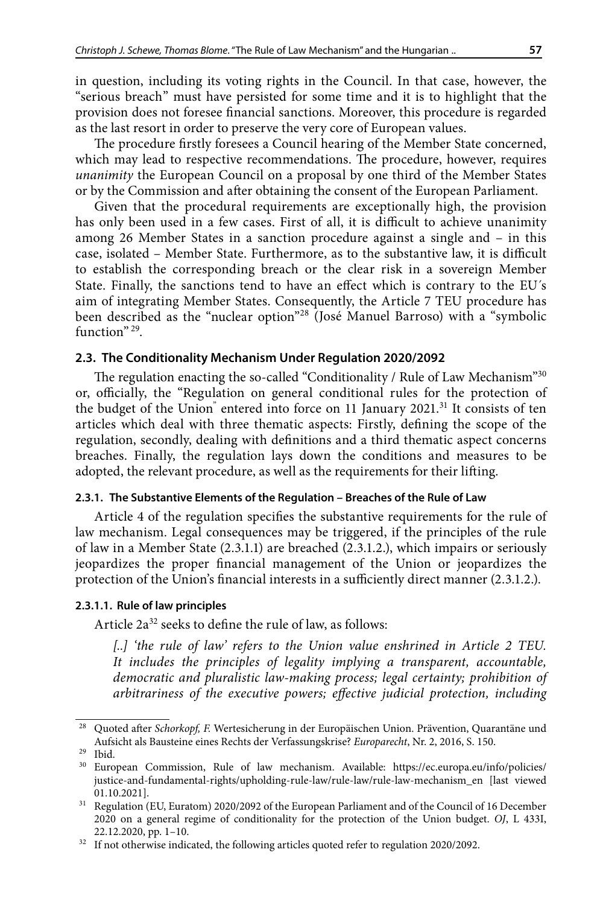in question, including its voting rights in the Council. In that case, however, the "serious breach" must have persisted for some time and it is to highlight that the provision does not foresee financial sanctions. Moreover, this procedure is regarded as the last resort in order to preserve the very core of European values.

The procedure firstly foresees a Council hearing of the Member State concerned, which may lead to respective recommendations. The procedure, however, requires *unanimity* the European Council on a proposal by one third of the Member States or by the Commission and after obtaining the consent of the European Parliament.

Given that the procedural requirements are exceptionally high, the provision has only been used in a few cases. First of all, it is difficult to achieve unanimity among 26 Member States in a sanction procedure against a single and – in this case, isolated – Member State. Furthermore, as to the substantive law, it is difficult to establish the corresponding breach or the clear risk in a sovereign Member State. Finally, the sanctions tend to have an effect which is contrary to the EU´s aim of integrating Member States. Consequently, the Article 7 TEU procedure has been described as the "nuclear option"28 (José Manuel Barroso) with a "symbolic function"<sup>29</sup>.

### **2.3. The Conditionality Mechanism Under Regulation 2020/2092**

The regulation enacting the so-called "Conditionality / Rule of Law Mechanism"<sup>30</sup> or, officially, the "Regulation on general conditional rules for the protection of the budget of the Union<sup>"</sup> entered into force on 11 January 2021.<sup>31</sup> It consists of ten articles which deal with three thematic aspects: Firstly, defining the scope of the regulation, secondly, dealing with definitions and a third thematic aspect concerns breaches. Finally, the regulation lays down the conditions and measures to be adopted, the relevant procedure, as well as the requirements for their lifting.

#### **2.3.1. The Substantive Elements of the Regulation – Breaches of the Rule of Law**

Article 4 of the regulation specifies the substantive requirements for the rule of law mechanism. Legal consequences may be triggered, if the principles of the rule of law in a Member State (2.3.1.1) are breached (2.3.1.2.), which impairs or seriously jeopardizes the proper financial management of the Union or jeopardizes the protection of the Union's financial interests in a sufficiently direct manner (2.3.1.2.).

### **2.3.1.1. Rule of law principles**

Article  $2a^{32}$  seeks to define the rule of law, as follows:

*[..] 'the rule of law' refers to the Union value enshrined in Article 2 TEU. It includes the principles of legality implying a transparent, accountable, democratic and pluralistic law-making process; legal certainty; prohibition of arbitrariness of the executive powers; effective judicial protection, including* 

<sup>28</sup> Quoted after *Schorkopf, F.* Wertesicherung in der Europäischen Union. Prävention, Quarantäne und Aufsicht als Bausteine eines Rechts der Verfassungskrise? *Europarecht*, Nr. 2, 2016, S. 150.

<sup>29</sup> Ibid.

<sup>30</sup> European Commission, Rule of law mechanism. Available: [https://ec.europa.eu/info/policies/](https://ec.europa.eu/info/policies/justice-and-fundamental-rights/upholding-rule-law/rule-law/rule-law-mechanism_en) [justice-and-fundamental-rights/upholding-rule-law/rule-law/rule-law-mechanism\\_en](https://ec.europa.eu/info/policies/justice-and-fundamental-rights/upholding-rule-law/rule-law/rule-law-mechanism_en) [last viewed 01.10.2021].

<sup>&</sup>lt;sup>31</sup> Regulation (EU, Euratom) 2020/2092 of the European Parliament and of the Council of 16 December 2020 on a general regime of conditionality for the protection of the Union budget. *OJ*, L 433I, 22.12.2020, pp. 1–10.

<sup>&</sup>lt;sup>32</sup> If not otherwise indicated, the following articles quoted refer to regulation 2020/2092.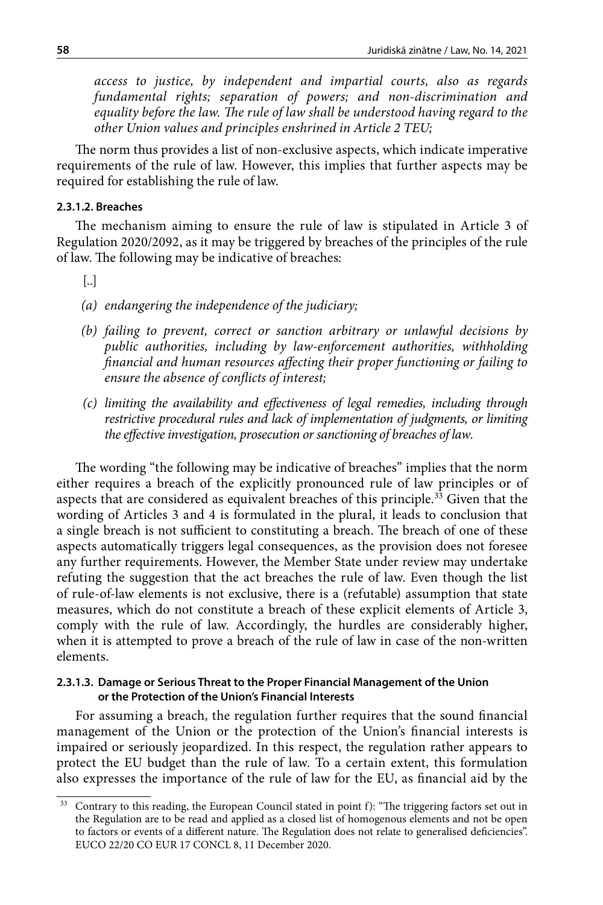*access to justice, by independent and impartial courts, also as regards fundamental rights; separation of powers; and non-discrimination and equality before the law. The rule of law shall be understood having regard to the other Union values and principles enshrined in Article 2 TEU;*

The norm thus provides a list of non-exclusive aspects, which indicate imperative requirements of the rule of law. However, this implies that further aspects may be required for establishing the rule of law.

#### **2.3.1.2. Breaches**

The mechanism aiming to ensure the rule of law is stipulated in Article 3 of Regulation 2020/2092, as it may be triggered by breaches of the principles of the rule of law. The following may be indicative of breaches:

- [..]
- *(a) endangering the independence of the judiciary;*
- *(b) failing to prevent, correct or sanction arbitrary or unlawful decisions by public authorities, including by law-enforcement authorities, withholding financial and human resources affecting their proper functioning or failing to ensure the absence of conflicts of interest;*
- *(c) limiting the availability and effectiveness of legal remedies, including through restrictive procedural rules and lack of implementation of judgments, or limiting the effective investigation, prosecution or sanctioning of breaches of law.*

The wording "the following may be indicative of breaches" implies that the norm either requires a breach of the explicitly pronounced rule of law principles or of aspects that are considered as equivalent breaches of this principle. $33$  Given that the wording of Articles 3 and 4 is formulated in the plural, it leads to conclusion that a single breach is not sufficient to constituting a breach. The breach of one of these aspects automatically triggers legal consequences, as the provision does not foresee any further requirements. However, the Member State under review may undertake refuting the suggestion that the act breaches the rule of law. Even though the list of rule-of-law elements is not exclusive, there is a (refutable) assumption that state measures, which do not constitute a breach of these explicit elements of Article 3, comply with the rule of law. Accordingly, the hurdles are considerably higher, when it is attempted to prove a breach of the rule of law in case of the non-written elements.

#### **2.3.1.3. Damage or Serious Threat to the Proper Financial Management of the Union or the Protection of the Union's Financial Interests**

For assuming a breach, the regulation further requires that the sound financial management of the Union or the protection of the Union's financial interests is impaired or seriously jeopardized. In this respect, the regulation rather appears to protect the EU budget than the rule of law. To a certain extent, this formulation also expresses the importance of the rule of law for the EU, as financial aid by the

<sup>&</sup>lt;sup>33</sup> Contrary to this reading, the European Council stated in point f): "The triggering factors set out in the Regulation are to be read and applied as a closed list of homogenous elements and not be open to factors or events of a different nature. The Regulation does not relate to generalised deficiencies". EUCO 22/20 CO EUR 17 CONCL 8, 11 December 2020.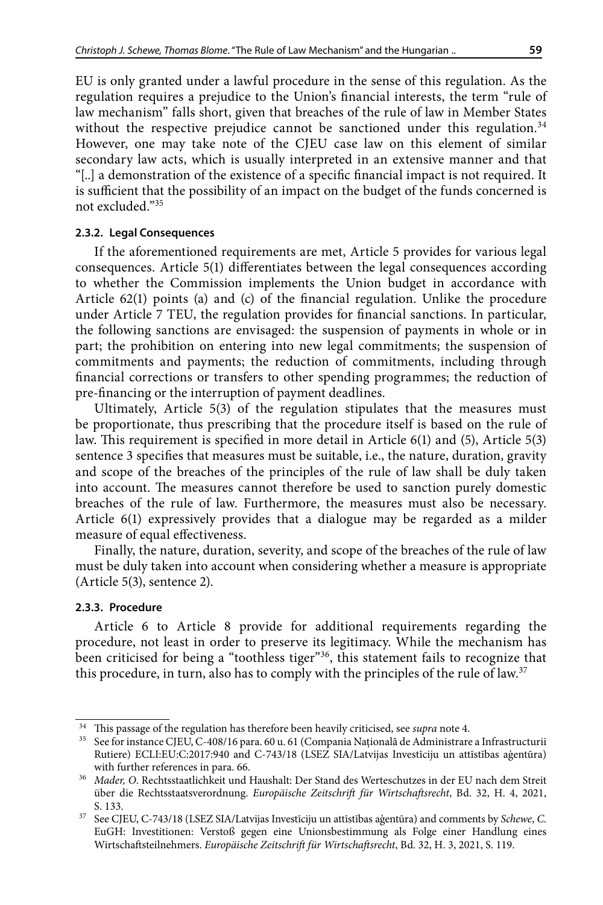EU is only granted under a lawful procedure in the sense of this regulation. As the regulation requires a prejudice to the Union's financial interests, the term "rule of law mechanism" falls short, given that breaches of the rule of law in Member States without the respective prejudice cannot be sanctioned under this regulation.<sup>34</sup> However, one may take note of the CJEU case law on this element of similar secondary law acts, which is usually interpreted in an extensive manner and that "[..] a demonstration of the existence of a specific financial impact is not required. It is sufficient that the possibility of an impact on the budget of the funds concerned is not excluded."35

#### **2.3.2. Legal Consequences**

If the aforementioned requirements are met, Article 5 provides for various legal consequences. Article 5(1) differentiates between the legal consequences according to whether the Commission implements the Union budget in accordance with Article 62(1) points (a) and (c) of the financial regulation. Unlike the procedure under Article 7 TEU, the regulation provides for financial sanctions. In particular, the following sanctions are envisaged: the suspension of payments in whole or in part; the prohibition on entering into new legal commitments; the suspension of commitments and payments; the reduction of commitments, including through financial corrections or transfers to other spending programmes; the reduction of pre-financing or the interruption of payment deadlines.

Ultimately, Article 5(3) of the regulation stipulates that the measures must be proportionate, thus prescribing that the procedure itself is based on the rule of law. This requirement is specified in more detail in Article 6(1) and (5), Article 5(3) sentence 3 specifies that measures must be suitable, i.e., the nature, duration, gravity and scope of the breaches of the principles of the rule of law shall be duly taken into account. The measures cannot therefore be used to sanction purely domestic breaches of the rule of law. Furthermore, the measures must also be necessary. Article 6(1) expressively provides that a dialogue may be regarded as a milder measure of equal effectiveness.

Finally, the nature, duration, severity, and scope of the breaches of the rule of law must be duly taken into account when considering whether a measure is appropriate (Article 5(3), sentence 2).

#### **2.3.3. Procedure**

Article 6 to Article 8 provide for additional requirements regarding the procedure, not least in order to preserve its legitimacy. While the mechanism has been criticised for being a "toothless tiger"<sup>36</sup>, this statement fails to recognize that this procedure, in turn, also has to comply with the principles of the rule of law.<sup>37</sup>

<sup>&</sup>lt;sup>34</sup> This passage of the regulation has therefore been heavily criticised, see *supra* note 4.<br><sup>35</sup> See for instance CJEU, C-408/16 para. 60 u. 61 (Compania Națională de Administrare a Infrastructurii Rutiere) ECLI:EU:C:2017:940 and C-743/18 (LSEZ SIA/Latvijas Investīciju un attīstības aģentūra) with further references in para. 66.

<sup>36</sup> *Mader, O*. Rechtsstaatlichkeit und Haushalt: Der Stand des Werteschutzes in der EU nach dem Streit über die Rechtsstaatsverordnung. *Europäische Zeitschrift für Wirtschaftsrecht*, Bd. 32, H. 4, 2021, S. 133.

<sup>37</sup> See CJEU, C-743/18 (LSEZ SIA/Latvijas Investīciju un attīstības aģentūra) and comments by *Schewe*, *C*. EuGH: Investitionen: Verstoß gegen eine Unionsbestimmung als Folge einer Handlung eines Wirtschaftsteilnehmers. *Europäische Zeitschrift für Wirtschaftsrecht*, Bd. 32, H. 3, 2021, S. 119.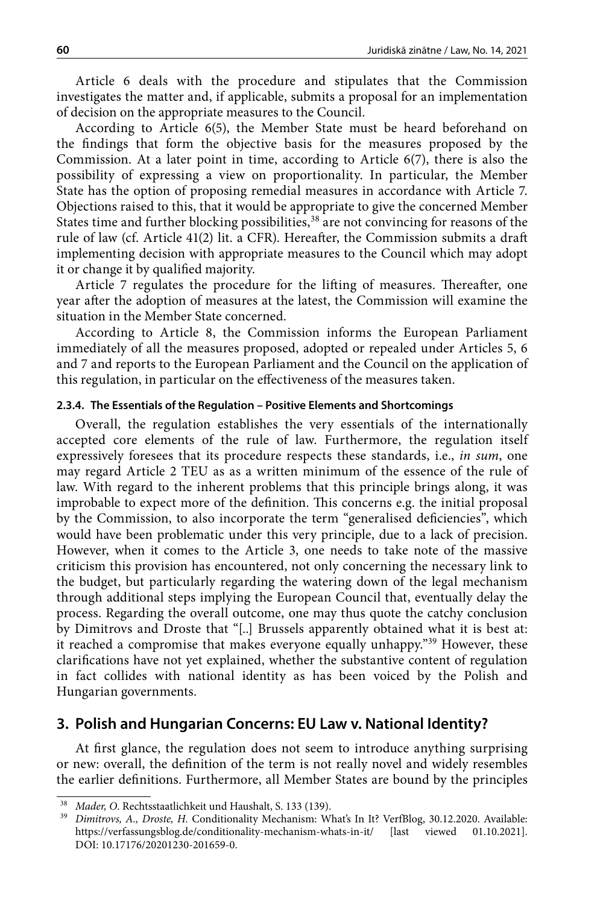Article 6 deals with the procedure and stipulates that the Commission investigates the matter and, if applicable, submits a proposal for an implementation of decision on the appropriate measures to the Council.

According to Article 6(5), the Member State must be heard beforehand on the findings that form the objective basis for the measures proposed by the Commission. At a later point in time, according to Article 6(7), there is also the possibility of expressing a view on proportionality. In particular, the Member State has the option of proposing remedial measures in accordance with Article 7. Objections raised to this, that it would be appropriate to give the concerned Member States time and further blocking possibilities,<sup>38</sup> are not convincing for reasons of the rule of law (cf. Article 41(2) lit. a CFR). Hereafter, the Commission submits a draft implementing decision with appropriate measures to the Council which may adopt it or change it by qualified majority.

Article 7 regulates the procedure for the lifting of measures. Thereafter, one year after the adoption of measures at the latest, the Commission will examine the situation in the Member State concerned.

According to Article 8, the Commission informs the European Parliament immediately of all the measures proposed, adopted or repealed under Articles 5, 6 and 7 and reports to the European Parliament and the Council on the application of this regulation, in particular on the effectiveness of the measures taken.

## **2.3.4. The Essentials of the Regulation – Positive Elements and Shortcomings**

Overall, the regulation establishes the very essentials of the internationally accepted core elements of the rule of law. Furthermore, the regulation itself expressively foresees that its procedure respects these standards, i.e., *in sum*, one may regard Article 2 TEU as as a written minimum of the essence of the rule of law. With regard to the inherent problems that this principle brings along, it was improbable to expect more of the definition. This concerns e.g. the initial proposal by the Commission, to also incorporate the term "generalised deficiencies", which would have been problematic under this very principle, due to a lack of precision. However, when it comes to the Article 3, one needs to take note of the massive criticism this provision has encountered, not only concerning the necessary link to the budget, but particularly regarding the watering down of the legal mechanism through additional steps implying the European Council that, eventually delay the process. Regarding the overall outcome, one may thus quote the catchy conclusion by Dimitrovs and Droste that "[..] Brussels apparently obtained what it is best at: it reached a compromise that makes everyone equally unhappy."39 However, these clarifications have not yet explained, whether the substantive content of regulation in fact collides with national identity as has been voiced by the Polish and Hungarian governments.

## **3. Polish and Hungarian Concerns: EU Law v. National Identity?**

At first glance, the regulation does not seem to introduce anything surprising or new: overall, the definition of the term is not really novel and widely resembles the earlier definitions. Furthermore, all Member States are bound by the principles

<sup>38</sup> *Mader, O*. Rechtsstaatlichkeit und Haushalt, S. 133 (139).

<sup>&</sup>lt;sup>39</sup> Dimitrovs, A., Droste, H. Conditionality Mechanism: What's In It? VerfBlog, 30.12.2020. Available: <https://verfassungsblog.de/conditionality-mechanism-whats-in-it/> [last viewed 01.10.2021]. DOI: [10.17176/20201230-201659-0.](https://dx.doi.org/10.17176/20201230-201659-0)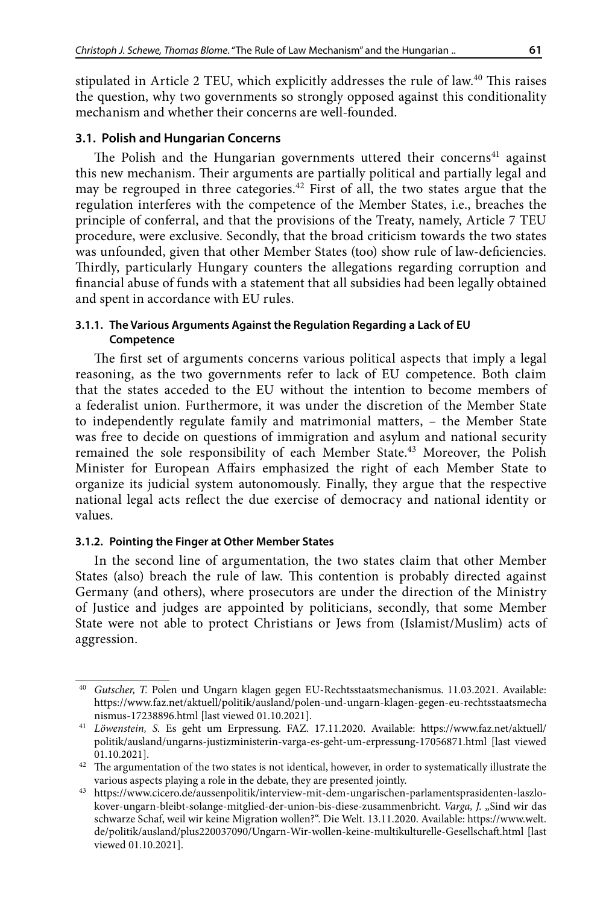stipulated in Article 2 TEU, which explicitly addresses the rule of law.<sup>40</sup> This raises the question, why two governments so strongly opposed against this conditionality mechanism and whether their concerns are well-founded.

## **3.1. Polish and Hungarian Concerns**

The Polish and the Hungarian governments uttered their concerns<sup>41</sup> against this new mechanism. Their arguments are partially political and partially legal and may be regrouped in three categories.<sup>42</sup> First of all, the two states argue that the regulation interferes with the competence of the Member States, i.e., breaches the principle of conferral, and that the provisions of the Treaty, namely, Article 7 TEU procedure, were exclusive. Secondly, that the broad criticism towards the two states was unfounded, given that other Member States (too) show rule of law-deficiencies. Thirdly, particularly Hungary counters the allegations regarding corruption and financial abuse of funds with a statement that all subsidies had been legally obtained and spent in accordance with EU rules.

## **3.1.1. The Various Arguments Against the Regulation Regarding a Lack of EU Competence**

The first set of arguments concerns various political aspects that imply a legal reasoning, as the two governments refer to lack of EU competence. Both claim that the states acceded to the EU without the intention to become members of a federalist union. Furthermore, it was under the discretion of the Member State to independently regulate family and matrimonial matters, – the Member State was free to decide on questions of immigration and asylum and national security remained the sole responsibility of each Member State.43 Moreover, the Polish Minister for European Affairs emphasized the right of each Member State to organize its judicial system autonomously. Finally, they argue that the respective national legal acts reflect the due exercise of democracy and national identity or values.

## **3.1.2. Pointing the Finger at Other Member States**

In the second line of argumentation, the two states claim that other Member States (also) breach the rule of law. This contention is probably directed against Germany (and others), where prosecutors are under the direction of the Ministry of Justice and judges are appointed by politicians, secondly, that some Member State were not able to protect Christians or Jews from (Islamist/Muslim) acts of aggression.

<sup>40</sup> *Gutscher, T.* Polen und Ungarn klagen gegen EU-Rechtsstaatsmechanismus. 11.03.2021. Available: [https://www.faz.net/aktuell/politik/ausland/polen-und-ungarn-klagen-gegen-eu-rechtsstaatsmecha](Https://Www.Faz.Net/Aktuell/Politik/Ausland/Polen-Und-Ungarn-Klagen-Gegen-Eu-Rechtsstaatsmechanismus-17238896.Html) [nismus-17238896.html](Https://Www.Faz.Net/Aktuell/Politik/Ausland/Polen-Und-Ungarn-Klagen-Gegen-Eu-Rechtsstaatsmechanismus-17238896.Html) [last viewed 01.10.2021].

<sup>41</sup> *Löwenstein, S.* Es geht um Erpressung. FAZ. 17.11.2020. Available: [https://www.faz.net/aktuell/](https://www.faz.net/aktuell/politik/ausland/ungarns-justizministerin-varga-es-geht-um-erpressung-17056871.html) [politik/ausland/ungarns-justizministerin-varga-es-geht-um-erpressung-17056871.html](https://www.faz.net/aktuell/politik/ausland/ungarns-justizministerin-varga-es-geht-um-erpressung-17056871.html) [last viewed 01.10.2021].

 $42$  The argumentation of the two states is not identical, however, in order to systematically illustrate the various aspects playing a role in the debate, they are presented jointly.

<sup>43</sup> [https://www.cicero.de/aussenpolitik/interview-mit-dem-ungarischen-parlamentsprasidenten-laszlo](https://www.cicero.de/aussenpolitik/interview-mit-dem-ungarischen-parlamentsprasidenten-laszlo-kover-ungarn-bleibt-solange-mitglied-der-union-bis-diese-zusammenbricht)[kover-ungarn-bleibt-solange-mitglied-der-union-bis-diese-zusammenbricht.](https://www.cicero.de/aussenpolitik/interview-mit-dem-ungarischen-parlamentsprasidenten-laszlo-kover-ungarn-bleibt-solange-mitglied-der-union-bis-diese-zusammenbricht) *Varga, J.* "Sind wir das schwarze Schaf, weil wir keine Migration wollen?". Die Welt. 13.11.2020. Available: [https://www.welt.](https://www.welt.de/politik/ausland/plus220037090/Ungarn-Wir-wollen-keine-multikulturelle-Gesellschaft.html) [de/politik/ausland/plus220037090/Ungarn-Wir-wollen-keine-multikulturelle-Gesellschaft.html](https://www.welt.de/politik/ausland/plus220037090/Ungarn-Wir-wollen-keine-multikulturelle-Gesellschaft.html) [last viewed 01.10.2021].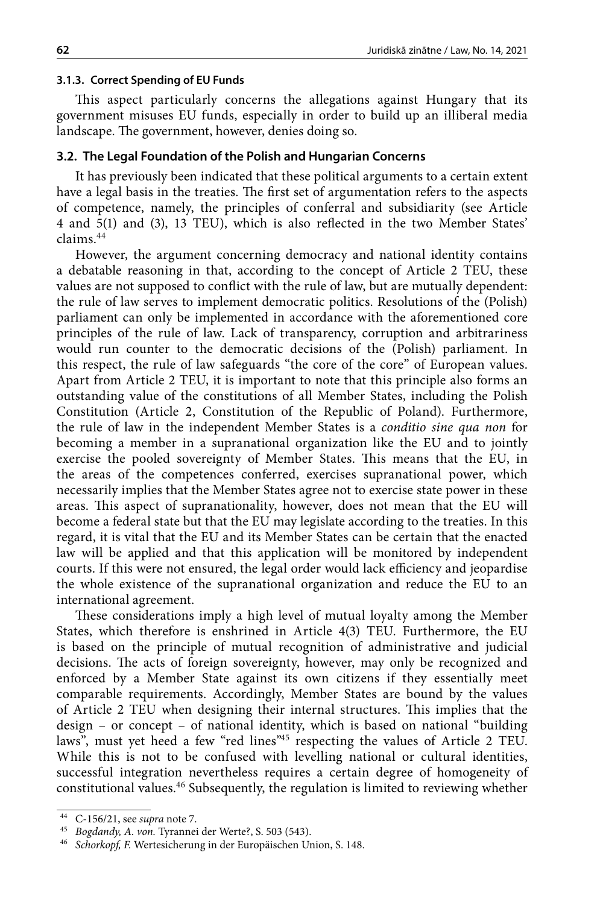#### **3.1.3. Correct Spending of EU Funds**

This aspect particularly concerns the allegations against Hungary that its government misuses EU funds, especially in order to build up an illiberal media landscape. The government, however, denies doing so.

#### **3.2. The Legal Foundation of the Polish and Hungarian Concerns**

It has previously been indicated that these political arguments to a certain extent have a legal basis in the treaties. The first set of argumentation refers to the aspects of competence, namely, the principles of conferral and subsidiarity (see Article 4 and 5(1) and (3), 13 TEU), which is also reflected in the two Member States' claims.44

However, the argument concerning democracy and national identity contains a debatable reasoning in that, according to the concept of Article 2 TEU, these values are not supposed to conflict with the rule of law, but are mutually dependent: the rule of law serves to implement democratic politics. Resolutions of the (Polish) parliament can only be implemented in accordance with the aforementioned core principles of the rule of law. Lack of transparency, corruption and arbitrariness would run counter to the democratic decisions of the (Polish) parliament. In this respect, the rule of law safeguards "the core of the core" of European values. Apart from Article 2 TEU, it is important to note that this principle also forms an outstanding value of the constitutions of all Member States, including the Polish Constitution (Article 2, Constitution of the Republic of Poland). Furthermore, the rule of law in the independent Member States is a *conditio sine qua non* for becoming a member in a supranational organization like the EU and to jointly exercise the pooled sovereignty of Member States. This means that the EU, in the areas of the competences conferred, exercises supranational power, which necessarily implies that the Member States agree not to exercise state power in these areas. This aspect of supranationality, however, does not mean that the EU will become a federal state but that the EU may legislate according to the treaties. In this regard, it is vital that the EU and its Member States can be certain that the enacted law will be applied and that this application will be monitored by independent courts. If this were not ensured, the legal order would lack efficiency and jeopardise the whole existence of the supranational organization and reduce the EU to an international agreement.

These considerations imply a high level of mutual loyalty among the Member States, which therefore is enshrined in Article 4(3) TEU. Furthermore, the EU is based on the principle of mutual recognition of administrative and judicial decisions. The acts of foreign sovereignty, however, may only be recognized and enforced by a Member State against its own citizens if they essentially meet comparable requirements. Accordingly, Member States are bound by the values of Article 2 TEU when designing their internal structures. This implies that the design - or concept - of national identity, which is based on national "building laws", must yet heed a few "red lines"<sup>45</sup> respecting the values of Article 2 TEU. While this is not to be confused with levelling national or cultural identities, successful integration nevertheless requires a certain degree of homogeneity of constitutional values.46 Subsequently, the regulation is limited to reviewing whether

<sup>44</sup> C-156/21, see *supra* note 7.

<sup>45</sup> *Bogdandy, A. von.* Tyrannei der Werte?, S. 503 (543).

<sup>46</sup> *Schorkopf, F.* Wertesicherung in der Europäischen Union, S. 148.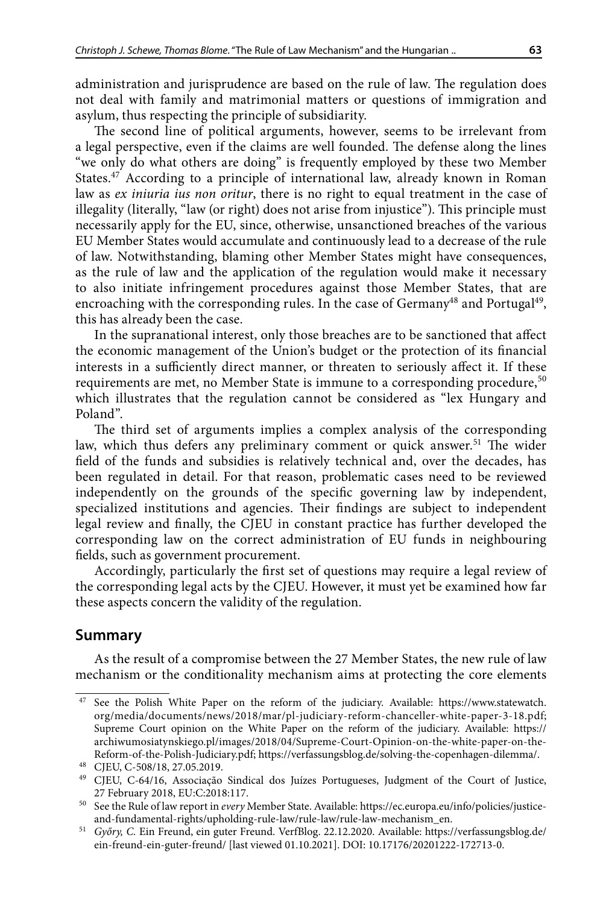administration and jurisprudence are based on the rule of law. The regulation does not deal with family and matrimonial matters or questions of immigration and asylum, thus respecting the principle of subsidiarity.

The second line of political arguments, however, seems to be irrelevant from a legal perspective, even if the claims are well founded. The defense along the lines "we only do what others are doing" is frequently employed by these two Member States.<sup>47</sup> According to a principle of international law, already known in Roman law as *ex iniuria ius non oritur*, there is no right to equal treatment in the case of illegality (literally, "law (or right) does not arise from injustice"). This principle must necessarily apply for the EU, since, otherwise, unsanctioned breaches of the various EU Member States would accumulate and continuously lead to a decrease of the rule of law. Notwithstanding, blaming other Member States might have consequences, as the rule of law and the application of the regulation would make it necessary to also initiate infringement procedures against those Member States, that are encroaching with the corresponding rules. In the case of Germany<sup>48</sup> and Portugal<sup>49</sup>, this has already been the case.

In the supranational interest, only those breaches are to be sanctioned that affect the economic management of the Union's budget or the protection of its financial interests in a sufficiently direct manner, or threaten to seriously affect it. If these requirements are met, no Member State is immune to a corresponding procedure,<sup>50</sup> which illustrates that the regulation cannot be considered as "lex Hungary and Poland".

The third set of arguments implies a complex analysis of the corresponding law, which thus defers any preliminary comment or quick answer.<sup>51</sup> The wider field of the funds and subsidies is relatively technical and, over the decades, has been regulated in detail. For that reason, problematic cases need to be reviewed independently on the grounds of the specific governing law by independent, specialized institutions and agencies. Their findings are subject to independent legal review and finally, the CJEU in constant practice has further developed the corresponding law on the correct administration of EU funds in neighbouring fields, such as government procurement.

Accordingly, particularly the first set of questions may require a legal review of the corresponding legal acts by the CJEU. However, it must yet be examined how far these aspects concern the validity of the regulation.

## **Summary**

As the result of a compromise between the 27 Member States, the new rule of law mechanism or the conditionality mechanism aims at protecting the core elements

See the Polish White Paper on the reform of the judiciary. Available: [https://www.statewatch.](https://www.statewatch.org/media/documents/news/2018/mar/pl-judiciary-reform-chanceller-white-paper-3-18.pdf) [org/media/documents/news/2018/mar/pl-judiciary-reform-chanceller-white-paper-3-18.pdf](https://www.statewatch.org/media/documents/news/2018/mar/pl-judiciary-reform-chanceller-white-paper-3-18.pdf); Supreme Court opinion on the White Paper on the reform of the judiciary. Available: [https://](https://archiwumosiatynskiego.pl/images/2018/04/Supreme-Court-Opinion-on-the-white-paper-on-the-Reform-of-the-Polish-Judiciary.pdf) [archiwumosiatynskiego.pl/images/2018/04/Supreme-Court-Opinion-on-the-white-paper-on-the-](https://archiwumosiatynskiego.pl/images/2018/04/Supreme-Court-Opinion-on-the-white-paper-on-the-Reform-of-the-Polish-Judiciary.pdf)[Reform-of-the-Polish-Judiciary.pdf;](https://archiwumosiatynskiego.pl/images/2018/04/Supreme-Court-Opinion-on-the-white-paper-on-the-Reform-of-the-Polish-Judiciary.pdf) <https://verfassungsblog.de/solving-the-copenhagen-dilemma/>.

<sup>48</sup> CJEU, C-508/18, 27.05.2019.

<sup>49</sup> CJEU, C-64/16, Associação Sindical dos Juízes Portugueses, Judgment of the Court of Justice, 27 February 2018, EU:C:2018:117.

<sup>50</sup> See the Rule of law report in *every* Member State. Available: [https://ec.europa.eu/info/policies/justice](https://ec.europa.eu/info/policies/justice-and-fundamental-rights/upholding-rule-law/rule-law/rule-law-mechanism_en)[and-fundamental-rights/upholding-rule-law/rule-law/rule-law-mechanism\\_en.](https://ec.europa.eu/info/policies/justice-and-fundamental-rights/upholding-rule-law/rule-law/rule-law-mechanism_en)

<sup>51</sup> *Győry, C.* Ein Freund, ein guter Freund. VerfBlog. 22.12.2020. Available: [https://verfassungsblog.de/](https://verfassungsblog.de/ein-freund-ein-guter-freund/) [ein-freund-ein-guter-freund/](https://verfassungsblog.de/ein-freund-ein-guter-freund/) [last viewed 01.10.2021]. DOI: 10.17176/20201222-172713-0.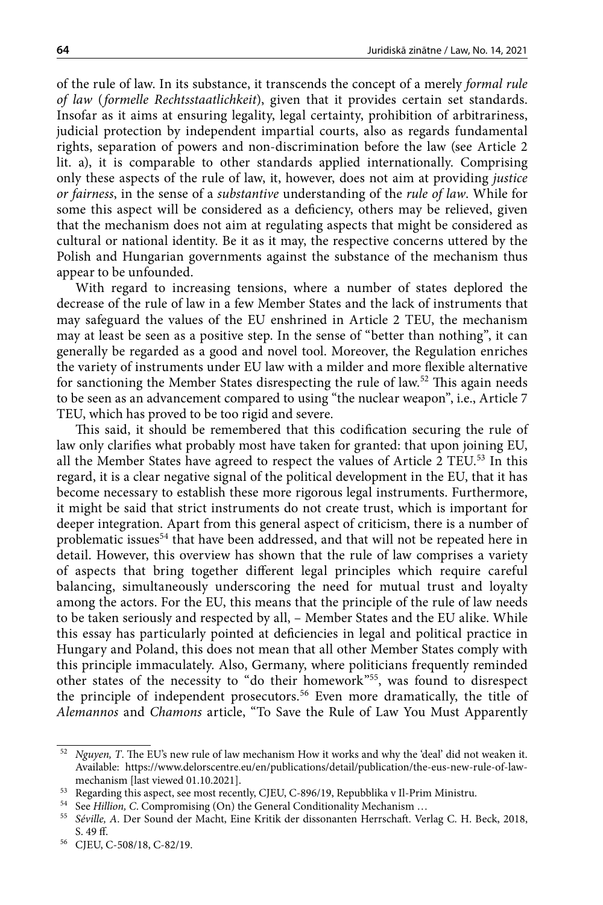of the rule of law. In its substance, it transcends the concept of a merely *formal rule of law* (*formelle Rechtsstaatlichkeit*), given that it provides certain set standards. Insofar as it aims at ensuring legality, legal certainty, prohibition of arbitrariness, judicial protection by independent impartial courts, also as regards fundamental rights, separation of powers and non-discrimination before the law (see Article 2 lit. a), it is comparable to other standards applied internationally. Comprising only these aspects of the rule of law, it, however, does not aim at providing *justice or fairness*, in the sense of a *substantive* understanding of the *rule of law*. While for some this aspect will be considered as a deficiency, others may be relieved, given that the mechanism does not aim at regulating aspects that might be considered as cultural or national identity. Be it as it may, the respective concerns uttered by the Polish and Hungarian governments against the substance of the mechanism thus appear to be unfounded.

With regard to increasing tensions, where a number of states deplored the decrease of the rule of law in a few Member States and the lack of instruments that may safeguard the values of the EU enshrined in Article 2 TEU, the mechanism may at least be seen as a positive step. In the sense of "better than nothing", it can generally be regarded as a good and novel tool. Moreover, the Regulation enriches the variety of instruments under EU law with a milder and more flexible alternative for sanctioning the Member States disrespecting the rule of law.52 This again needs to be seen as an advancement compared to using "the nuclear weapon", i.e., Article 7 TEU, which has proved to be too rigid and severe.

This said, it should be remembered that this codification securing the rule of law only clarifies what probably most have taken for granted: that upon joining EU, all the Member States have agreed to respect the values of Article 2 TEU.<sup>53</sup> In this regard, it is a clear negative signal of the political development in the EU, that it has become necessary to establish these more rigorous legal instruments. Furthermore, it might be said that strict instruments do not create trust, which is important for deeper integration. Apart from this general aspect of criticism, there is a number of problematic issues<sup>54</sup> that have been addressed, and that will not be repeated here in detail. However, this overview has shown that the rule of law comprises a variety of aspects that bring together different legal principles which require careful balancing, simultaneously underscoring the need for mutual trust and loyalty among the actors. For the EU, this means that the principle of the rule of law needs to be taken seriously and respected by all, – Member States and the EU alike. While this essay has particularly pointed at deficiencies in legal and political practice in Hungary and Poland, this does not mean that all other Member States comply with this principle immaculately. Also, Germany, where politicians frequently reminded other states of the necessity to "do their homework"55, was found to disrespect the principle of independent prosecutors.<sup>56</sup> Even more dramatically, the title of *Alemannos* and *Chamons* article, "To Save the Rule of Law You Must Apparently

<sup>52</sup> *Nguyen, T*. The EU's new rule of law mechanism How it works and why the 'deal' did not weaken it. Available: [https://www.delorscentre.eu/en/publications/detail/publication/the-eus-new-rule-of-law](https://www.delorscentre.eu/en/publications/detail/publication/the-eus-new-rule-of-law-mechanism)[mechanism](https://www.delorscentre.eu/en/publications/detail/publication/the-eus-new-rule-of-law-mechanism) [last viewed 01.10.2021].

<sup>53</sup> Regarding this aspect, see most recently, CJEU, C-896/19, Repubblika v Il-Prim Ministru.

<sup>54</sup> See *Hillion, C*. Compromising (On) the General Conditionality Mechanism …

<sup>55</sup> *Séville, A*. Der Sound der Macht, Eine Kritik der dissonanten Herrschaft. Verlag C. H. Beck, 2018, S. 49 ff.

<sup>56</sup> CJEU, C-508/18, C-82/19.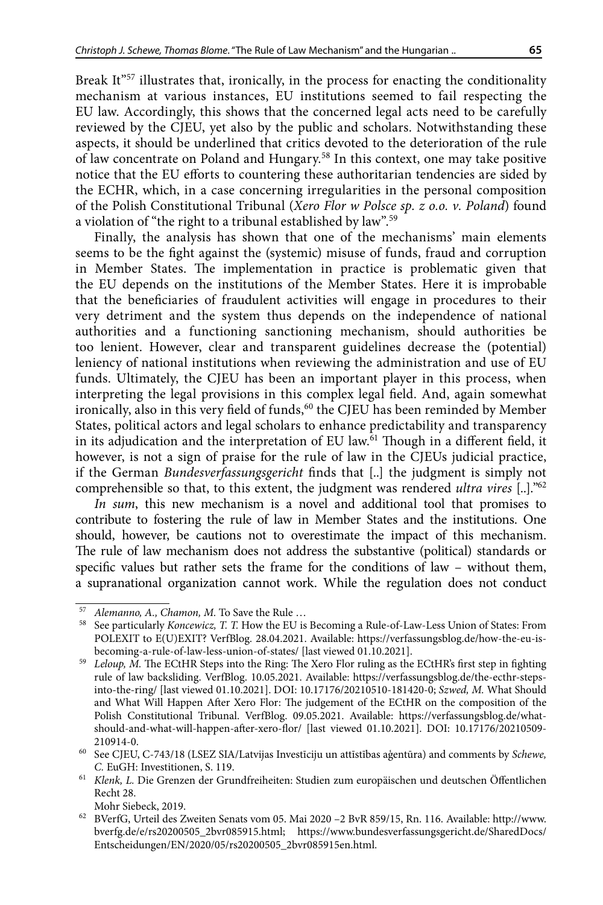Break It<sup>"57</sup> illustrates that, ironically, in the process for enacting the conditionality mechanism at various instances, EU institutions seemed to fail respecting the EU law. Accordingly, this shows that the concerned legal acts need to be carefully reviewed by the CJEU, yet also by the public and scholars. Notwithstanding these aspects, it should be underlined that critics devoted to the deterioration of the rule of law concentrate on Poland and Hungary.58 In this context, one may take positive notice that the EU efforts to countering these authoritarian tendencies are sided by the ECHR, which, in a case concerning irregularities in the personal composition of the Polish Constitutional Tribunal (*Xero Flor w Polsce sp. z o.o. v. Poland*) found a violation of "the right to a tribunal established by law".59

Finally, the analysis has shown that one of the mechanisms' main elements seems to be the fight against the (systemic) misuse of funds, fraud and corruption in Member States. The implementation in practice is problematic given that the EU depends on the institutions of the Member States. Here it is improbable that the beneficiaries of fraudulent activities will engage in procedures to their very detriment and the system thus depends on the independence of national authorities and a functioning sanctioning mechanism, should authorities be too lenient. However, clear and transparent guidelines decrease the (potential) leniency of national institutions when reviewing the administration and use of EU funds. Ultimately, the CJEU has been an important player in this process, when interpreting the legal provisions in this complex legal field. And, again somewhat ironically, also in this very field of funds,<sup>60</sup> the CJEU has been reminded by Member States, political actors and legal scholars to enhance predictability and transparency in its adjudication and the interpretation of EU law. $\overline{61}$  Though in a different field, it however, is not a sign of praise for the rule of law in the CJEUs judicial practice, if the German *Bundesverfassungsgericht* finds that [..] the judgment is simply not comprehensible so that, to this extent, the judgment was rendered *ultra vires* [..]."62

*In sum*, this new mechanism is a novel and additional tool that promises to contribute to fostering the rule of law in Member States and the institutions. One should, however, be cautions not to overestimate the impact of this mechanism. The rule of law mechanism does not address the substantive (political) standards or specific values but rather sets the frame for the conditions of law – without them, a supranational organization cannot work. While the regulation does not conduct

<sup>57</sup> *Alemanno, A., Chamon, M.* To Save the Rule …

<sup>58</sup> See particularly *Koncewicz, T. T.* How the EU is Becoming a Rule-of-Law-Less Union of States: From POLEXIT to E(U)EXIT? VerfBlog*.* 28.04.2021. Available: https://verfassungsblog.de/how-the-eu-isbecoming-a-rule-of-law-less-union-of-states/ [last viewed 01.10.2021].

<sup>59</sup> *Leloup, M.* The ECtHR Steps into the Ring: The Xero Flor ruling as the ECtHR's first step in fighting rule of law backsliding. VerfBlog. 10.05.2021. Available: [https://verfassungsblog.de/the-ecthr-steps](https://verfassungsblog.de/the-ecthr-steps-into-the-ring/)[into-the-ring/](https://verfassungsblog.de/the-ecthr-steps-into-the-ring/) [last viewed 01.10.2021]. DOI: [10.17176/20210510-181420-0;](https://dx.doi.org/10.17176/20210510-181420-0) *Szwed, M.* What Should and What Will Happen After Xero Flor: The judgement of the ECtHR on the composition of the Polish Constitutional Tribunal. VerfBlog. 09.05.2021. Available: [https://verfassungsblog.de/what](https://verfassungsblog.de/what-should-and-what-will-happen-after-xero-flor/)[should-and-what-will-happen-after-xero-flor/](https://verfassungsblog.de/what-should-and-what-will-happen-after-xero-flor/) [last viewed 01.10.2021]. DOI: [10.17176/20210509-](https://dx.doi.org/10.17176/20210509-210914-0) [210914-0](https://dx.doi.org/10.17176/20210509-210914-0).

<sup>60</sup> See CJEU, C-743/18 (LSEZ SIA/Latvijas Investīciju un attīstības aģentūra) and comments by *Schewe, C.* EuGH: Investitionen, S. 119.<br>*Klenk, L. Die Grenzen der Grundfreiheiten: [Studien zum europäischen und deutschen Öffentlichen](https://www.mohrsiebeck.com/schriftenreihe/studien-zum-europaeischen-und-deutschen-oeffentlichen-recht-eudoer?no_cache=1)* 

[Recht 28](https://www.mohrsiebeck.com/schriftenreihe/studien-zum-europaeischen-und-deutschen-oeffentlichen-recht-eudoer?no_cache=1).

Mohr Siebeck, 2019.

<sup>62</sup> BVerfG, Urteil des Zweiten Senats vom 05. Mai 2020 –2 BvR 859/15, Rn. 116. Available: [http://www.](http://www.bverfg.de/e/rs20200505_2bvr085915.html) [bverfg.de/e/rs20200505\\_2bvr085915.html;](http://www.bverfg.de/e/rs20200505_2bvr085915.html) [https://www.bundesverfassungsgericht.de/SharedDocs/](https://www.bundesverfassungsgericht.de/SharedDocs/Entscheidungen/EN/2020/05/rs20200505_2bvr085915en.html) [Entscheidungen/EN/2020/05/rs20200505\\_2bvr085915en.html.](https://www.bundesverfassungsgericht.de/SharedDocs/Entscheidungen/EN/2020/05/rs20200505_2bvr085915en.html)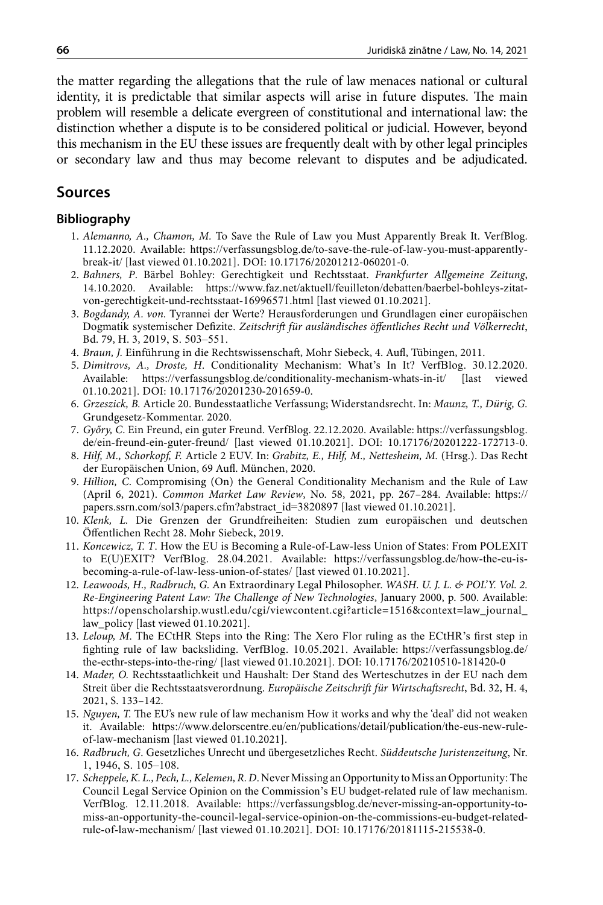the matter regarding the allegations that the rule of law menaces national or cultural identity, it is predictable that similar aspects will arise in future disputes. The main problem will resemble a delicate evergreen of constitutional and international law: the distinction whether a dispute is to be considered political or judicial. However, beyond this mechanism in the EU these issues are frequently dealt with by other legal principles or secondary law and thus may become relevant to disputes and be adjudicated.

## **Sources**

#### **Bibliography**

- 1. *Alemanno, A., Chamon, M.* To Save the Rule of Law you Must Apparently Break It. VerfBlog. 11.12.2020. Available: https://verfassungsblog.de/to-save-the-rule-of-law-you-must-apparentlybreak-it/ [last viewed 01.10.2021]. DOI: 10.17176/20201212-060201-0.
- 2. *Bahners, P*. Bärbel Bohley: Gerechtigkeit und Rechtsstaat. *Frankfurter Allgemeine Zeitung*, 14.10.2020. Available: [https://www.faz.net/aktuell/feuilleton/debatten/baerbel-bohleys-zitat](https://www.faz.net/aktuell/feuilleton/debatten/baerbel-bohleys-zitat-von-gerechtigkeit-und-rechtsstaat-16996571.html)[von-gerechtigkeit-und-rechtsstaat-16996571.html](https://www.faz.net/aktuell/feuilleton/debatten/baerbel-bohleys-zitat-von-gerechtigkeit-und-rechtsstaat-16996571.html) [last viewed 01.10.2021].
- 3. *Bogdandy, A. von.* Tyrannei der Werte? Herausforderungen und Grundlagen einer europäischen Dogmatik systemischer Defizite. *Zeitschrift für ausländisches öffentliches Recht und Völkerrecht*, Bd. 79, H. 3, 2019, S. 503–551.
- 4. *Braun, J.* Einführung in die Rechtswissenschaft, Mohr Siebeck, 4. Aufl, Tübingen, 2011.
- 5. *Dimitrovs, A., Droste, H*. Conditionality Mechanism: What's In It? VerfBlog. 30.12.2020. Available: <https://verfassungsblog.de/conditionality-mechanism-whats-in-it/>[last viewed 01.10.2021]. DOI: [10.17176/20201230-201659-0](https://dx.doi.org/10.17176/20201230-201659-0).
- 6. *Grzeszick, B.* Article 20. Bundesstaatliche Verfassung; Widerstandsrecht. In: *Maunz, T., Dürig, G.* Grundgesetz-Kommentar. 2020.
- 7. *Győry, C*. Ein Freund, ein guter Freund. VerfBlog. 22.12.2020. Available: [https://verfassungsblog.](https://verfassungsblog.de/ein-freund-ein-guter-freund/) [de/ein-freund-ein-guter-freund/](https://verfassungsblog.de/ein-freund-ein-guter-freund/) [last viewed 01.10.2021]. DOI: 10.17176/20201222-172713-0.
- 8. *Hilf, M., Schorkopf, F.* Article 2 EUV. In: *Grabitz, E., Hilf, M., Nettesheim, M.* (Hrsg.). Das Recht der Europäischen Union, 69 Aufl. München, 2020.
- 9. *Hillion, C*. Compromising (On) the General Conditionality Mechanism and the Rule of Law (April 6, 2021). *Common Market Law Review*, No. 58, 2021, pp. 267–284. Available: https:// papers.ssrn.com/sol3/papers.cfm?abstract\_id=3820897 [last viewed 01.10.2021].
- 10. *Klenk, L.* Die Grenzen der Grundfreiheiten: Studien zum europäischen und deutschen Öffentlichen Recht 28. Mohr Siebeck, 2019.
- 11. *Koncewicz, T. T*. How the EU is Becoming a Rule-of-Law-less Union of States: From POLEXIT to E(U)EXIT? VerfBlog. 28.04.2021. Available: [https://verfassungsblog.de/how-the-eu-is](https://verfassungsblog.de/how-the-eu-is-becoming-a-rule-of-law-less-union-of-states/)[becoming-a-rule-of-law-less-union-of-states/](https://verfassungsblog.de/how-the-eu-is-becoming-a-rule-of-law-less-union-of-states/) [last viewed 01.10.2021].
- 12. *Leawoods, H., Radbruch, G.* An Extraordinary Legal Philosopher. *WASH. U. J. L. & POL'Y. Vol. 2. Re-Engineering Patent Law: The Challenge of New Technologies*, January 2000, p. 500. Available: [https://openscholarship.wustl.edu/cgi/viewcontent.cgi?article=1516&context=law\\_journal\\_](-https://openscholarship.wustl.edu/cgi/viewcontent.cgi?article=1516&context=law_journal_law_policy) [law\\_policy](-https://openscholarship.wustl.edu/cgi/viewcontent.cgi?article=1516&context=law_journal_law_policy) [last viewed 01.10.2021].
- 13. *Leloup, M*. The ECtHR Steps into the Ring: The Xero Flor ruling as the ECtHR's first step in fighting rule of law backsliding. VerfBlog. 10.05.2021. Available: [https://verfassungsblog.de/](https://verfassungsblog.de/the-ecthr-steps-into-the-ring/) [the-ecthr-steps-into-the-ring/](https://verfassungsblog.de/the-ecthr-steps-into-the-ring/) [last viewed 01.10.2021]. DOI: [10.17176/20210510-181420-0](https://dx.doi.org/10.17176/20210510-181420-0)
- 14. *Mader, O.* Rechtsstaatlichkeit und Haushalt: Der Stand des Werteschutzes in der EU nach dem Streit über die Rechtsstaatsverordnung. *Europäische Zeitschrift für Wirtschaftsrecht*, Bd. 32, H. 4, 2021, S. 133–142.
- 15. *Nguyen, T.* The EU's new rule of law mechanism How it works and why the 'deal' did not weaken it. Available: [https://www.delorscentre.eu/en/publications/detail/publication/the-eus-new-rule](https://www.delorscentre.eu/en/publications/detail/publication/the-eus-new-rule-of-law-mechanism)[of-law-mechanism](https://www.delorscentre.eu/en/publications/detail/publication/the-eus-new-rule-of-law-mechanism) [last viewed 01.10.2021].
- 16. *Radbruch, G*. Gesetzliches Unrecht und übergesetzliches Recht. *Süddeutsche Juristenzeitung*, Nr. 1, 1946, S. 105–108.
- 17. *Scheppele, K. L., Pech, L., Kelemen, R. D*. Never Missing an Opportunity to Miss an Opportunity: The Council Legal Service Opinion on the Commission's EU budget-related rule of law mechanism. VerfBlog. 12.11.2018. Available: [https://verfassungsblog.de/never-missing-an-opportunity-to](https://verfassungsblog.de/never-missing-an-opportunity-to-miss-an-opportunity-the-council-legal-service-opinion-on-the-commissions-eu-budget-related-rule-of-law-mechanism/)[miss-an-opportunity-the-council-legal-service-opinion-on-the-commissions-eu-budget-related](https://verfassungsblog.de/never-missing-an-opportunity-to-miss-an-opportunity-the-council-legal-service-opinion-on-the-commissions-eu-budget-related-rule-of-law-mechanism/)[rule-of-law-mechanism/](https://verfassungsblog.de/never-missing-an-opportunity-to-miss-an-opportunity-the-council-legal-service-opinion-on-the-commissions-eu-budget-related-rule-of-law-mechanism/) [last viewed 01.10.2021]. DOI: [10.17176/20181115-215538-0](https://dx.doi.org/10.17176/20181115-215538-0).